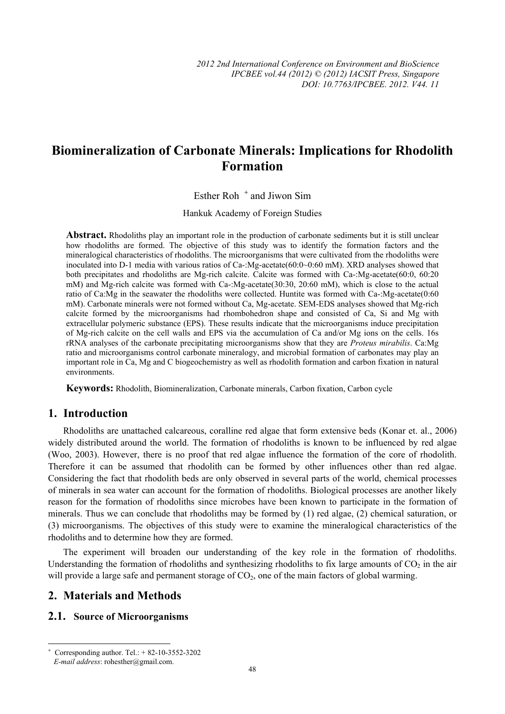# **Biomineralization of Carbonate Minerals: Implications for Rhodolith Formation**

Esther Roh<sup>+</sup> and Jiwon Sim

Hankuk Academy of Foreign Studies

**Abstract.** Rhodoliths play an important role in the production of carbonate sediments but it is still unclear how rhodoliths are formed. The objective of this study was to identify the formation factors and the mineralogical characteristics of rhodoliths. The microorganisms that were cultivated from the rhodoliths were inoculated into D-1 media with various ratios of Ca-:Mg-acetate(60:0~0:60 mM). XRD analyses showed that both precipitates and rhodoliths are Mg-rich calcite. Calcite was formed with Ca-:Mg-acetate(60:0, 60:20 mM) and Mg-rich calcite was formed with Ca-:Mg-acetate(30:30, 20:60 mM), which is close to the actual ratio of Ca:Mg in the seawater the rhodoliths were collected. Huntite was formed with Ca-:Mg-acetate(0:60 mM). Carbonate minerals were not formed without Ca, Mg-acetate. SEM-EDS analyses showed that Mg-rich calcite formed by the microorganisms had rhombohedron shape and consisted of Ca, Si and Mg with extracellular polymeric substance (EPS). These results indicate that the microorganisms induce precipitation of Mg-rich calcite on the cell walls and EPS via the accumulation of Ca and/or Mg ions on the cells. 16s rRNA analyses of the carbonate precipitating microorganisms show that they are *Proteus mirabilis*. Ca:Mg ratio and microorganisms control carbonate mineralogy, and microbial formation of carbonates may play an important role in Ca, Mg and C biogeochemistry as well as rhodolith formation and carbon fixation in natural environments.

**Keywords:** Rhodolith, Biomineralization, Carbonate minerals, Carbon fixation, Carbon cycle

# **1. Introduction**

Rhodoliths are unattached calcareous, coralline red algae that form extensive beds (Konar et. al., 2006) widely distributed around the world. The formation of rhodoliths is known to be influenced by red algae (Woo, 2003). However, there is no proof that red algae influence the formation of the core of rhodolith. Therefore it can be assumed that rhodolith can be formed by other influences other than red algae. Considering the fact that rhodolith beds are only observed in several parts of the world, chemical processes of minerals in sea water can account for the formation of rhodoliths. Biological processes are another likely reason for the formation of rhodoliths since microbes have been known to participate in the formation of minerals. Thus we can conclude that rhodoliths may be formed by (1) red algae, (2) chemical saturation, or (3) microorganisms. The objectives of this study were to examine the mineralogical characteristics of the rhodoliths and to determine how they are formed.

The experiment will broaden our understanding of the key role in the formation of rhodoliths. Understanding the formation of rhodoliths and synthesizing rhodoliths to fix large amounts of  $CO<sub>2</sub>$  in the air will provide a large safe and permanent storage of  $CO<sub>2</sub>$ , one of the main factors of global warming.

# **2. Materials and Methods**

#### **2.1. Source of Microorganisms**

 $\overline{\phantom{a}}$ 

<sup>+</sup> Corresponding author. Tel.: + 82-10-3552-3202 *E-mail address*: rohesther@gmail.com.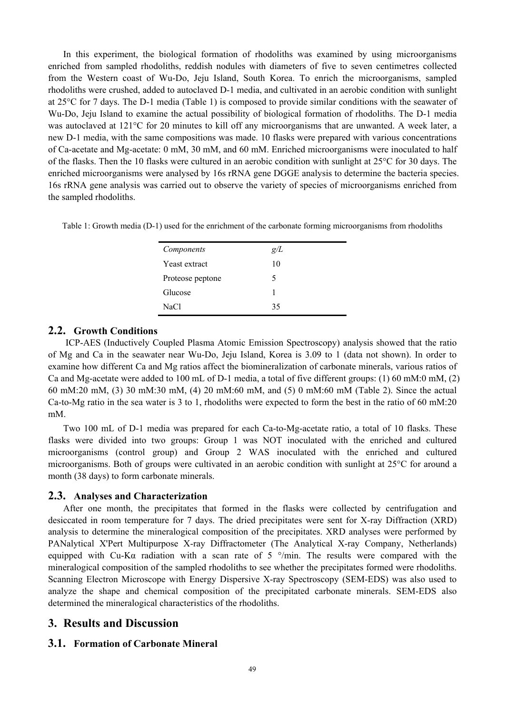In this experiment, the biological formation of rhodoliths was examined by using microorganisms enriched from sampled rhodoliths, reddish nodules with diameters of five to seven centimetres collected from the Western coast of Wu-Do, Jeju Island, South Korea. To enrich the microorganisms, sampled rhodoliths were crushed, added to autoclaved D-1 media, and cultivated in an aerobic condition with sunlight at 25°C for 7 days. The D-1 media (Table 1) is composed to provide similar conditions with the seawater of Wu-Do, Jeju Island to examine the actual possibility of biological formation of rhodoliths. The D-1 media was autoclaved at 121°C for 20 minutes to kill off any microorganisms that are unwanted. A week later, a new D-1 media, with the same compositions was made. 10 flasks were prepared with various concentrations of Ca-acetate and Mg-acetate: 0 mM, 30 mM, and 60 mM. Enriched microorganisms were inoculated to half of the flasks. Then the 10 flasks were cultured in an aerobic condition with sunlight at 25°C for 30 days. The enriched microorganisms were analysed by 16s rRNA gene DGGE analysis to determine the bacteria species. 16s rRNA gene analysis was carried out to observe the variety of species of microorganisms enriched from the sampled rhodoliths.

Table 1: Growth media (D-1) used for the enrichment of the carbonate forming microorganisms from rhodoliths

| Components       | g/L |
|------------------|-----|
| Yeast extract    | 10  |
| Proteose peptone | 5   |
| Glucose          | 1   |
| NaCl             | 35  |

### **2.2. Growth Conditions**

 ICP-AES (Inductively Coupled Plasma Atomic Emission Spectroscopy) analysis showed that the ratio of Mg and Ca in the seawater near Wu-Do, Jeju Island, Korea is 3.09 to 1 (data not shown). In order to examine how different Ca and Mg ratios affect the biomineralization of carbonate minerals, various ratios of Ca and Mg-acetate were added to 100 mL of D-1 media, a total of five different groups: (1) 60 mM:0 mM, (2) 60 mM:20 mM, (3) 30 mM:30 mM, (4) 20 mM:60 mM, and (5) 0 mM:60 mM (Table 2). Since the actual Ca-to-Mg ratio in the sea water is 3 to 1, rhodoliths were expected to form the best in the ratio of 60 mM:20 mM.

Two 100 mL of D-1 media was prepared for each Ca-to-Mg-acetate ratio, a total of 10 flasks. These flasks were divided into two groups: Group 1 was NOT inoculated with the enriched and cultured microorganisms (control group) and Group 2 WAS inoculated with the enriched and cultured microorganisms. Both of groups were cultivated in an aerobic condition with sunlight at 25°C for around a month (38 days) to form carbonate minerals.

#### **2.3. Analyses and Characterization**

After one month, the precipitates that formed in the flasks were collected by centrifugation and desiccated in room temperature for 7 days. The dried precipitates were sent for X-ray Diffraction (XRD) analysis to determine the mineralogical composition of the precipitates. XRD analyses were performed by PANalytical X'Pert Multipurpose X-ray Diffractometer (The Analytical X-ray Company, Netherlands) equipped with Cu-K $\alpha$  radiation with a scan rate of 5  $\degree$ /min. The results were compared with the mineralogical composition of the sampled rhodoliths to see whether the precipitates formed were rhodoliths. Scanning Electron Microscope with Energy Dispersive X-ray Spectroscopy (SEM-EDS) was also used to analyze the shape and chemical composition of the precipitated carbonate minerals. SEM-EDS also determined the mineralogical characteristics of the rhodoliths.

#### **3. Results and Discussion**

#### **3.1. Formation of Carbonate Mineral**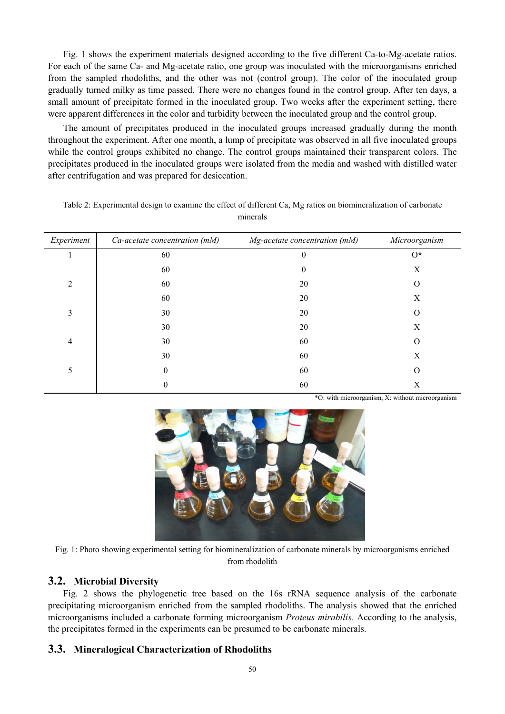Fig. 1 shows the experiment materials designed according to the five different Ca-to-Mg-acetate ratios. For each of the same Ca- and Mg-acetate ratio, one group was inoculated with the microorganisms enriched from the sampled rhodoliths, and the other was not (control group). The color of the inoculated group gradually turned milky as time passed. There were no changes found in the control group. After ten days, a small amount of precipitate formed in the inoculated group. Two weeks after the experiment setting, there were apparent differences in the color and turbidity between the inoculated group and the control group.

The amount of precipitates produced in the inoculated groups increased gradually during the month throughout the experiment. After one month, a lump of precipitate was observed in all five inoculated groups while the control groups exhibited no change. The control groups maintained their transparent colors. The precipitates produced in the inoculated groups were isolated from the media and washed with distilled water after centrifugation and was prepared for desiccation.

| Experiment     | Ca-acetate concentration (mM) | Mg-acetate concentration (mM) | Microorganism |
|----------------|-------------------------------|-------------------------------|---------------|
|                | 60                            | $\overline{0}$                | $0*$          |
|                | 60                            | $\boldsymbol{0}$              | X             |
| $\overline{2}$ | 60                            | 20                            | O             |
|                | 60                            | 20                            | Χ             |
| 3              | 30                            | 20                            | $\Omega$      |
|                | 30                            | 20                            | X             |
| $\overline{4}$ | 30                            | 60                            | $\Omega$      |
|                | 30                            | 60                            | Х             |
| 5              | 0                             | 60                            | O             |
|                | 0                             | 60                            | Х             |

Table 2: Experimental design to examine the effect of different Ca, Mg ratios on biomineralization of carbonate minerals

\*O: with microorganism, X: without microorganism



Fig. 1: Photo showing experimental setting for biomineralization of carbonate minerals by microorganisms enriched from rhodolith

#### **3.2. Microbial Diversity**

Fig. 2 shows the phylogenetic tree based on the 16s rRNA sequence analysis of the carbonate precipitating microorganism enriched from the sampled rhodoliths. The analysis showed that the enriched microorganisms included a carbonate forming microorganism *Proteus mirabilis.* According to the analysis, the precipitates formed in the experiments can be presumed to be carbonate minerals.

#### **3.3. Mineralogical Characterization of Rhodoliths**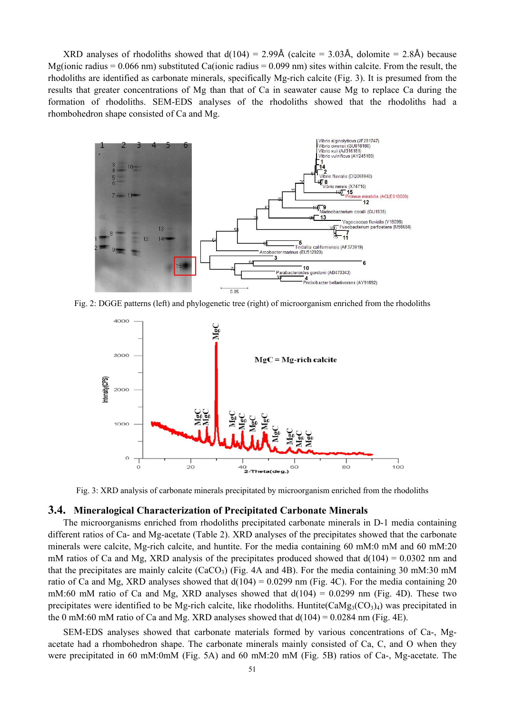XRD analyses of rhodoliths showed that  $d(104) = 2.99\text{\AA}$  (calcite = 3.03Å, dolomite = 2.8Å) because Mg(ionic radius =  $0.066$  nm) substituted Ca(ionic radius =  $0.099$  nm) sites within calcite. From the result, the rhodoliths are identified as carbonate minerals, specifically Mg-rich calcite (Fig. 3). It is presumed from the results that greater concentrations of Mg than that of Ca in seawater cause Mg to replace Ca during the formation of rhodoliths. SEM-EDS analyses of the rhodoliths showed that the rhodoliths had a rhombohedron shape consisted of Ca and Mg.



Fig. 2: DGGE patterns (left) and phylogenetic tree (right) of microorganism enriched from the rhodoliths



Fig. 3: XRD analysis of carbonate minerals precipitated by microorganism enriched from the rhodoliths

#### **3.4. Mineralogical Characterization of Precipitated Carbonate Minerals**

The microorganisms enriched from rhodoliths precipitated carbonate minerals in D-1 media containing different ratios of Ca- and Mg-acetate (Table 2). XRD analyses of the precipitates showed that the carbonate minerals were calcite, Mg-rich calcite, and huntite. For the media containing 60 mM:0 mM and 60 mM:20 mM ratios of Ca and Mg, XRD analysis of the precipitates produced showed that  $d(104) = 0.0302$  nm and that the precipitates are mainly calcite (CaCO<sub>3</sub>) (Fig. 4A and 4B). For the media containing 30 mM:30 mM ratio of Ca and Mg, XRD analyses showed that  $d(104) = 0.0299$  nm (Fig. 4C). For the media containing 20 mM:60 mM ratio of Ca and Mg, XRD analyses showed that  $d(104) = 0.0299$  nm (Fig. 4D). These two precipitates were identified to be Mg-rich calcite, like rhodoliths. Huntite( $\text{CaMg}_3(\text{CO}_3)_4$ ) was precipitated in the 0 mM:60 mM ratio of Ca and Mg. XRD analyses showed that  $d(104) = 0.0284$  nm (Fig. 4E).

SEM-EDS analyses showed that carbonate materials formed by various concentrations of Ca-, Mgacetate had a rhombohedron shape. The carbonate minerals mainly consisted of Ca, C, and O when they were precipitated in 60 mM:0mM (Fig. 5A) and 60 mM:20 mM (Fig. 5B) ratios of Ca-, Mg-acetate. The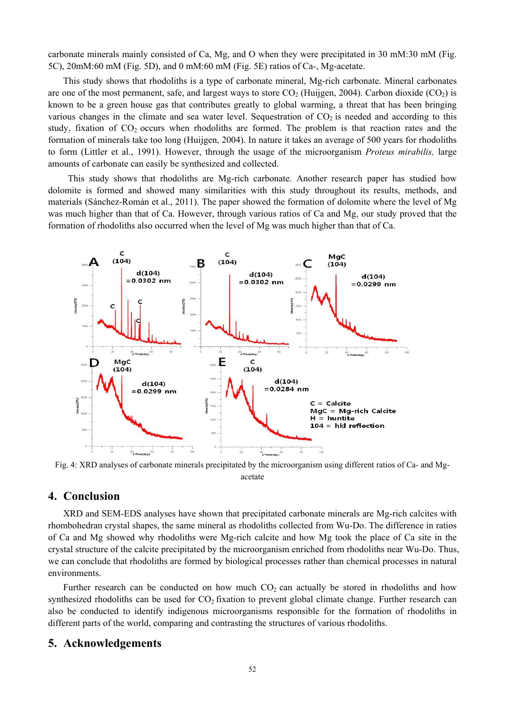carbonate minerals mainly consisted of Ca, Mg, and O when they were precipitated in 30 mM:30 mM (Fig. 5C), 20mM:60 mM (Fig. 5D), and 0 mM:60 mM (Fig. 5E) ratios of Ca-, Mg-acetate.

This study shows that rhodoliths is a type of carbonate mineral, Mg-rich carbonate. Mineral carbonates are one of the most permanent, safe, and largest ways to store  $CO<sub>2</sub>$  (Huijgen, 2004). Carbon dioxide  $(CO<sub>2</sub>)$  is known to be a green house gas that contributes greatly to global warming, a threat that has been bringing various changes in the climate and sea water level. Sequestration of  $CO<sub>2</sub>$  is needed and according to this study, fixation of  $CO<sub>2</sub>$  occurs when rhodoliths are formed. The problem is that reaction rates and the formation of minerals take too long (Huijgen, 2004). In nature it takes an average of 500 years for rhodoliths to form (Littler et al., 1991). However, through the usage of the microorganism *Proteus mirabilis,* large amounts of carbonate can easily be synthesized and collected.

 This study shows that rhodoliths are Mg-rich carbonate. Another research paper has studied how dolomite is formed and showed many similarities with this study throughout its results, methods, and materials (Sánchez-Román et al., 2011). The paper showed the formation of dolomite where the level of Mg was much higher than that of Ca. However, through various ratios of Ca and Mg, our study proved that the formation of rhodoliths also occurred when the level of Mg was much higher than that of Ca.



Fig. 4: XRD analyses of carbonate minerals precipitated by the microorganism using different ratios of Ca- and Mgacetate

# **4. Conclusion**

XRD and SEM-EDS analyses have shown that precipitated carbonate minerals are Mg-rich calcites with rhombohedran crystal shapes, the same mineral as rhodoliths collected from Wu-Do. The difference in ratios of Ca and Mg showed why rhodoliths were Mg-rich calcite and how Mg took the place of Ca site in the crystal structure of the calcite precipitated by the microorganism enriched from rhodoliths near Wu-Do. Thus, we can conclude that rhodoliths are formed by biological processes rather than chemical processes in natural environments.

Further research can be conducted on how much  $CO<sub>2</sub>$  can actually be stored in rhodoliths and how synthesized rhodoliths can be used for CO<sub>2</sub> fixation to prevent global climate change. Further research can also be conducted to identify indigenous microorganisms responsible for the formation of rhodoliths in different parts of the world, comparing and contrasting the structures of various rhodoliths.

#### **5. Acknowledgements**